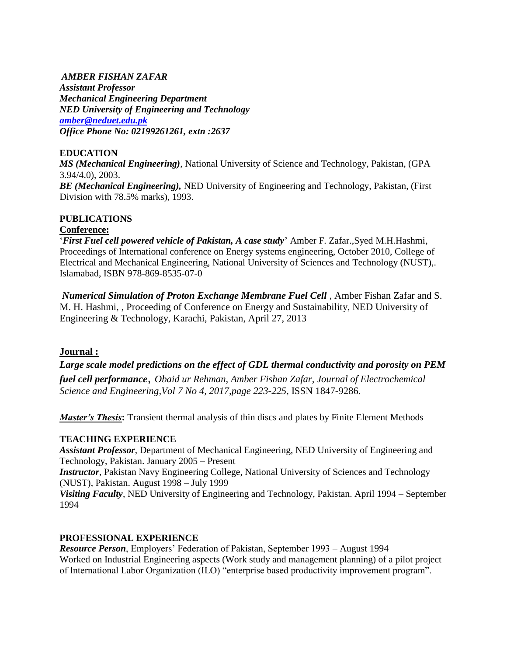### *AMBER FISHAN ZAFAR*

*Assistant Professor Mechanical Engineering Department NED University of Engineering and Technology [amber@neduet.edu.pk](mailto:amber@neduet.edu.pk) Office Phone No: 02199261261, extn :2637*

### **EDUCATION**

*MS (Mechanical Engineering)*, National University of Science and Technology, Pakistan, (GPA 3.94/4.0), 2003.

*BE (Mechanical Engineering),* NED University of Engineering and Technology, Pakistan, (First Division with 78.5% marks), 1993.

# **PUBLICATIONS**

### **Conference:**

"*First Fuel cell powered vehicle of Pakistan, A case study*" Amber F. Zafar.,Syed M.H.Hashmi, Proceedings of International conference on Energy systems engineering, October 2010, College of Electrical and Mechanical Engineering, National University of Sciences and Technology (NUST),. Islamabad, ISBN 978-869-8535-07-0

*Numerical Simulation of Proton Exchange Membrane Fuel Cell* , Amber Fishan Zafar and S. M. H. Hashmi, , Proceeding of Conference on Energy and Sustainability, NED University of Engineering & Technology, Karachi, Pakistan, April 27, 2013

### **Journal :**

*Large scale model predictions on the effect of GDL thermal [conductivity](http://pub.iapchem.org/ojs/index.php/JESE/article/view/413) and porosity on PEM*

*fuel cell [performance](http://pub.iapchem.org/ojs/index.php/JESE/article/view/413)*, *Obaid ur Rehman, Amber Fishan Zafar, Journal of Electrochemical Science and Engineering,Vol 7 No 4, 2017,page 223-225,* ISSN 1847-9286.

*Master's Thesis*: Transient thermal analysis of thin discs and plates by Finite Element Methods

### **TEACHING EXPERIENCE**

*Assistant Professor*, Department of Mechanical Engineering, NED University of Engineering and Technology, Pakistan. January 2005 – Present

*Instructor*, Pakistan Navy Engineering College, National University of Sciences and Technology (NUST), Pakistan. August 1998 – July 1999

*Visiting Faculty*, NED University of Engineering and Technology, Pakistan. April 1994 – September 1994

### **PROFESSIONAL EXPERIENCE**

*Resource Person*, Employers" Federation of Pakistan, September 1993 – August 1994 Worked on Industrial Engineering aspects (Work study and management planning) of a pilot project of International Labor Organization (ILO) "enterprise based productivity improvement program".